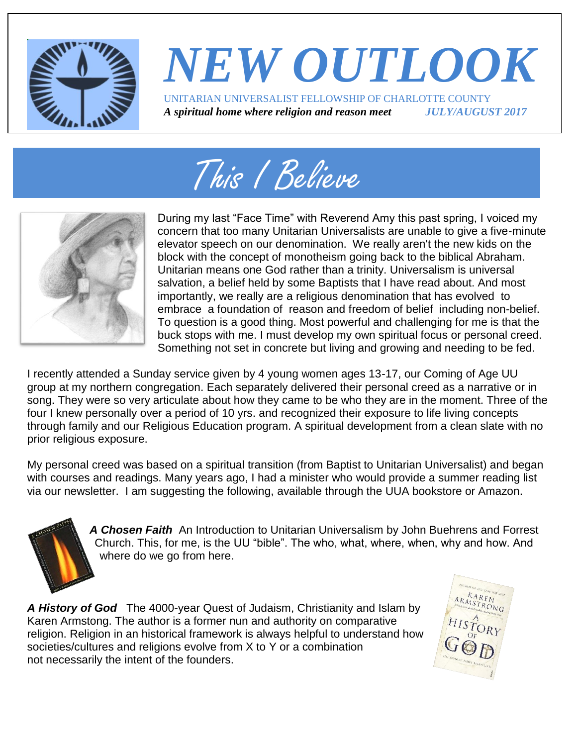

## *NEW OUTLOOK* UNITARIAN UNIVERSALIST FELLOWSHIP OF CHARLOTTE COUNTY *A spiritual home where religion and reason meet JULY/AUGUST 2017*





During my last "Face Time" with Reverend Amy this past spring, I voiced my concern that too many Unitarian Universalists are unable to give a five-minute elevator speech on our denomination. We really aren't the new kids on the block with the concept of monotheism going back to the biblical Abraham. Unitarian means one God rather than a trinity. Universalism is universal salvation, a belief held by some Baptists that I have read about. And most importantly, we really are a religious denomination that has evolved to embrace a foundation of reason and freedom of belief including non-belief. To question is a good thing. Most powerful and challenging for me is that the buck stops with me. I must develop my own spiritual focus or personal creed. Something not set in concrete but living and growing and needing to be fed.

I recently attended a Sunday service given by 4 young women ages 13-17, our Coming of Age UU group at my northern congregation. Each separately delivered their personal creed as a narrative or in song. They were so very articulate about how they came to be who they are in the moment. Three of the four I knew personally over a period of 10 yrs. and recognized their exposure to life living concepts through family and our Religious Education program. A spiritual development from a clean slate with no prior religious exposure.

My personal creed was based on a spiritual transition (from Baptist to Unitarian Universalist) and began with courses and readings. Many years ago, I had a minister who would provide a summer reading list via our newsletter. I am suggesting the following, available through the UUA bookstore or Amazon.

*A Chosen Faith* An Introduction to Unitarian Universalism by John Buehrens and Forrest Church. This, for me, is the UU "bible". The who, what, where, when, why and how. And where do we go from here.

*A History of God* The 4000-year Quest of Judaism, Christianity and Islam by Karen Armstong. The author is a former nun and authority on comparative religion. Religion in an historical framework is always helpful to understand how societies/cultures and religions evolve from X to Y or a combination not necessarily the intent of the founders.

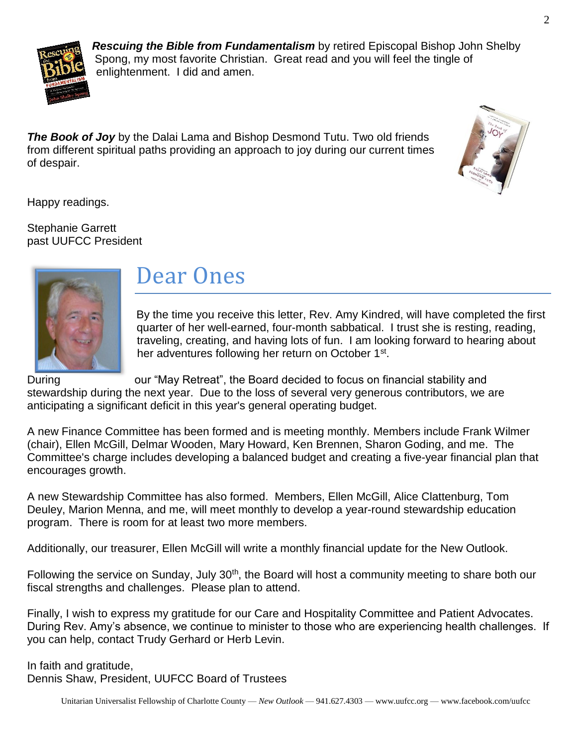

*Rescuing the Bible from Fundamentalism* by retired Episcopal Bishop John Shelby Spong, my most favorite Christian. Great read and you will feel the tingle of enlightenment. I did and amen.

*The Book of Joy* by the Dalai Lama and Bishop Desmond Tutu. Two old friends from different spiritual paths providing an approach to joy during our current times of despair.



Happy readings.

Stephanie Garrett past UUFCC President



## Dear Ones

By the time you receive this letter, Rev. Amy Kindred, will have completed the first quarter of her well-earned, four-month sabbatical. I trust she is resting, reading, traveling, creating, and having lots of fun. I am looking forward to hearing about her adventures following her return on October 1<sup>st</sup>.

During **Example 20 Ferreat** our "May Retreat", the Board decided to focus on financial stability and stewardship during the next year. Due to the loss of several very generous contributors, we are anticipating a significant deficit in this year's general operating budget.

A new Finance Committee has been formed and is meeting monthly. Members include Frank Wilmer (chair), Ellen McGill, Delmar Wooden, Mary Howard, Ken Brennen, Sharon Goding, and me. The Committee's charge includes developing a balanced budget and creating a five-year financial plan that encourages growth.

A new Stewardship Committee has also formed. Members, Ellen McGill, Alice Clattenburg, Tom Deuley, Marion Menna, and me, will meet monthly to develop a year-round stewardship education program. There is room for at least two more members.

Additionally, our treasurer, Ellen McGill will write a monthly financial update for the New Outlook.

Following the service on Sunday, July 30<sup>th</sup>, the Board will host a community meeting to share both our fiscal strengths and challenges. Please plan to attend.

Finally, I wish to express my gratitude for our Care and Hospitality Committee and Patient Advocates. During Rev. Amy's absence, we continue to minister to those who are experiencing health challenges. If you can help, contact Trudy Gerhard or Herb Levin.

In faith and gratitude, Dennis Shaw, President, UUFCC Board of Trustees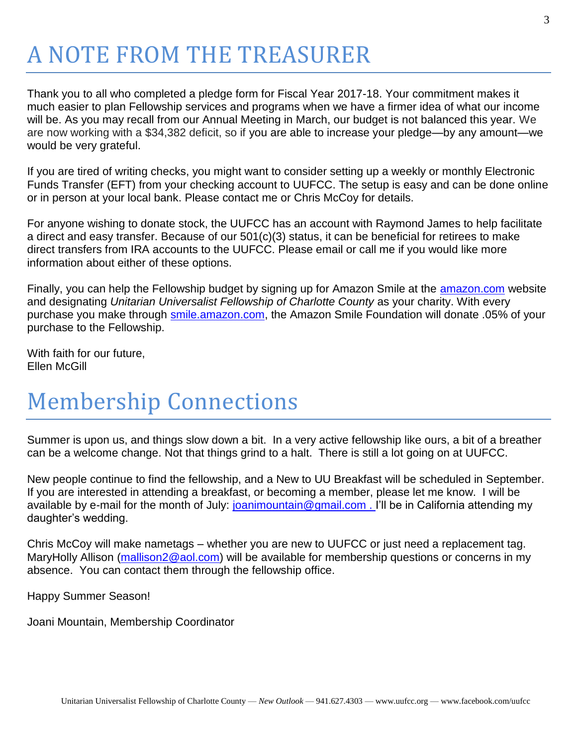# A NOTE FROM THE TREASURER

Thank you to all who completed a pledge form for Fiscal Year 2017-18. Your commitment makes it much easier to plan Fellowship services and programs when we have a firmer idea of what our income will be. As you may recall from our Annual Meeting in March, our budget is not balanced this year. We are now working with a \$34,382 deficit, so if you are able to increase your pledge—by any amount—we would be very grateful.

If you are tired of writing checks, you might want to consider setting up a weekly or monthly Electronic Funds Transfer (EFT) from your checking account to UUFCC. The setup is easy and can be done online or in person at your local bank. Please contact me or Chris McCoy for details.

For anyone wishing to donate stock, the UUFCC has an account with Raymond James to help facilitate a direct and easy transfer. Because of our 501(c)(3) status, it can be beneficial for retirees to make direct transfers from IRA accounts to the UUFCC. Please email or call me if you would like more information about either of these options.

Finally, you can help the Fellowship budget by signing up for Amazon Smile at the **amazon.com** website and designating *Unitarian Universalist Fellowship of Charlotte County* as your charity. With every purchase you make through [smile.amazon.com,](http://smile.amazon.com/) the Amazon Smile Foundation will donate .05% of your purchase to the Fellowship.

With faith for our future, Ellen McGill

# Membership Connections

Summer is upon us, and things slow down a bit. In a very active fellowship like ours, a bit of a breather can be a welcome change. Not that things grind to a halt. There is still a lot going on at UUFCC.

New people continue to find the fellowship, and a New to UU Breakfast will be scheduled in September. If you are interested in attending a breakfast, or becoming a member, please let me know. I will be available by e-mail for the month of July: [joanimountain@gmail.com](mailto:joanimountain@gmail.com) . I'll be in California attending my daughter's wedding.

Chris McCoy will make nametags – whether you are new to UUFCC or just need a replacement tag. MaryHolly Allison [\(mallison2@aol.com\)](mailto:mallison2@aol.com) will be available for membership questions or concerns in my absence. You can contact them through the fellowship office.

Happy Summer Season!

Joani Mountain, Membership Coordinator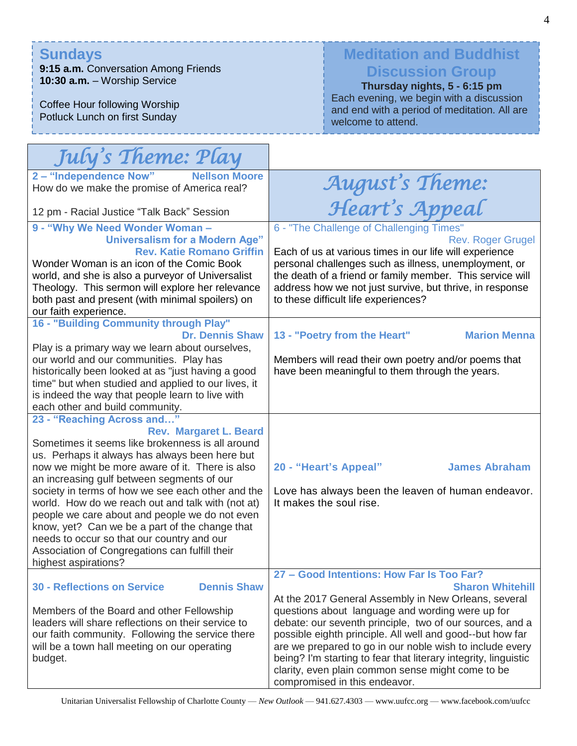#### **Sundays**

**9:15 a.m.** Conversation Among Friends **10:30 a.m.** – Worship Service

Coffee Hour following Worship Potluck Lunch on first Sunday

#### **Meditation and Buddhist Discussion Group**

**Thursday nights, 5 - 6:15 pm** Each evening, we begin with a discussion and end with a period of meditation. All are welcome to attend.

| July's Theme: Play                                                                                                                                                                                                                                                                                                                                                                                                                                                                                                                                                                                       |                                                                                                                                                                                                                                                                                                                                                                                                                                                                                                                                |
|----------------------------------------------------------------------------------------------------------------------------------------------------------------------------------------------------------------------------------------------------------------------------------------------------------------------------------------------------------------------------------------------------------------------------------------------------------------------------------------------------------------------------------------------------------------------------------------------------------|--------------------------------------------------------------------------------------------------------------------------------------------------------------------------------------------------------------------------------------------------------------------------------------------------------------------------------------------------------------------------------------------------------------------------------------------------------------------------------------------------------------------------------|
| 2 - "Independence Now"<br><b>Nellson Moore</b><br>How do we make the promise of America real?                                                                                                                                                                                                                                                                                                                                                                                                                                                                                                            | August's Theme:                                                                                                                                                                                                                                                                                                                                                                                                                                                                                                                |
| 12 pm - Racial Justice "Talk Back" Session                                                                                                                                                                                                                                                                                                                                                                                                                                                                                                                                                               | Heart's Appeal                                                                                                                                                                                                                                                                                                                                                                                                                                                                                                                 |
| 9 - "Why We Need Wonder Woman -<br><b>Universalism for a Modern Age"</b><br><b>Rev. Katie Romano Griffin</b><br>Wonder Woman is an icon of the Comic Book<br>world, and she is also a purveyor of Universalist<br>Theology. This sermon will explore her relevance<br>both past and present (with minimal spoilers) on<br>our faith experience.                                                                                                                                                                                                                                                          | 6 - "The Challenge of Challenging Times"<br><b>Rev. Roger Grugel</b><br>Each of us at various times in our life will experience<br>personal challenges such as illness, unemployment, or<br>the death of a friend or family member. This service will<br>address how we not just survive, but thrive, in response<br>to these difficult life experiences?                                                                                                                                                                      |
| 16 - "Building Community through Play"<br><b>Dr. Dennis Shaw</b><br>Play is a primary way we learn about ourselves,<br>our world and our communities. Play has<br>historically been looked at as "just having a good<br>time" but when studied and applied to our lives, it<br>is indeed the way that people learn to live with<br>each other and build community.                                                                                                                                                                                                                                       | 13 - "Poetry from the Heart"<br><b>Marion Menna</b><br>Members will read their own poetry and/or poems that<br>have been meaningful to them through the years.                                                                                                                                                                                                                                                                                                                                                                 |
| 23 - "Reaching Across and"<br><b>Rev. Margaret L. Beard</b><br>Sometimes it seems like brokenness is all around<br>us. Perhaps it always has always been here but<br>now we might be more aware of it. There is also<br>an increasing gulf between segments of our<br>society in terms of how we see each other and the<br>world. How do we reach out and talk with (not at)<br>people we care about and people we do not even<br>know, yet? Can we be a part of the change that<br>needs to occur so that our country and our<br>Association of Congregations can fulfill their<br>highest aspirations? | <b>James Abraham</b><br>20 - "Heart's Appeal"<br>Love has always been the leaven of human endeavor.<br>It makes the soul rise.                                                                                                                                                                                                                                                                                                                                                                                                 |
| <b>Dennis Shaw</b><br><b>30 - Reflections on Service</b><br>Members of the Board and other Fellowship<br>leaders will share reflections on their service to<br>our faith community. Following the service there<br>will be a town hall meeting on our operating<br>budget.                                                                                                                                                                                                                                                                                                                               | 27 - Good Intentions: How Far Is Too Far?<br><b>Sharon Whitehill</b><br>At the 2017 General Assembly in New Orleans, several<br>questions about language and wording were up for<br>debate: our seventh principle, two of our sources, and a<br>possible eighth principle. All well and good--but how far<br>are we prepared to go in our noble wish to include every<br>being? I'm starting to fear that literary integrity, linguistic<br>clarity, even plain common sense might come to be<br>compromised in this endeavor. |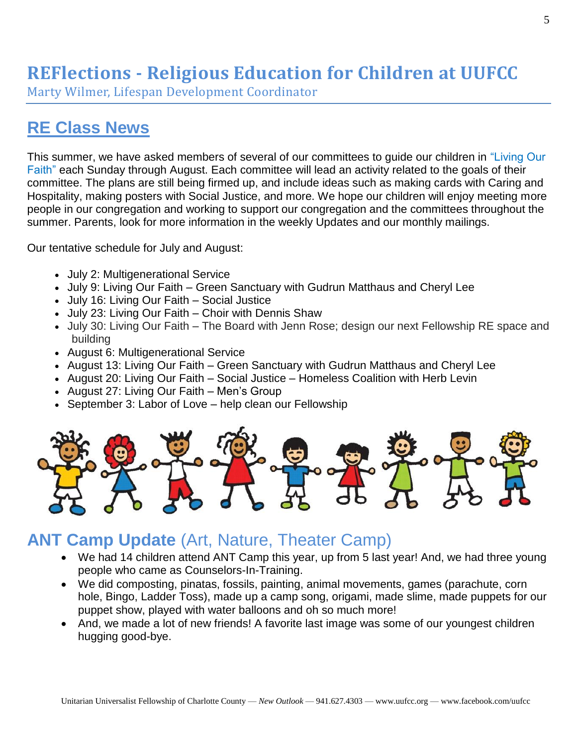## **REFlections - Religious Education for Children at UUFCC**

Marty Wilmer, Lifespan Development Coordinator

## **RE Class News**

This summer, we have asked members of several of our committees to guide our children in "Living Our Faith" each Sunday through August. Each committee will lead an activity related to the goals of their committee. The plans are still being firmed up, and include ideas such as making cards with Caring and Hospitality, making posters with Social Justice, and more. We hope our children will enjoy meeting more people in our congregation and working to support our congregation and the committees throughout the summer. Parents, look for more information in the weekly Updates and our monthly mailings.

Our tentative schedule for July and August:

- July 2: Multigenerational Service
- July 9: Living Our Faith Green Sanctuary with Gudrun Matthaus and Cheryl Lee
- July 16: Living Our Faith Social Justice
- July 23: Living Our Faith Choir with Dennis Shaw
- July 30: Living Our Faith The Board with Jenn Rose; design our next Fellowship RE space and building
- August 6: Multigenerational Service
- August 13: Living Our Faith Green Sanctuary with Gudrun Matthaus and Cheryl Lee
- August 20: Living Our Faith Social Justice Homeless Coalition with Herb Levin
- August 27: Living Our Faith Men's Group
- September 3: Labor of Love help clean our Fellowship



#### **ANT Camp Update** (Art, Nature, Theater Camp)

- We had 14 children attend ANT Camp this year, up from 5 last year! And, we had three young people who came as Counselors-In-Training.
- We did composting, pinatas, fossils, painting, animal movements, games (parachute, corn hole, Bingo, Ladder Toss), made up a camp song, origami, made slime, made puppets for our puppet show, played with water balloons and oh so much more!
- And, we made a lot of new friends! A favorite last image was some of our youngest children hugging good-bye.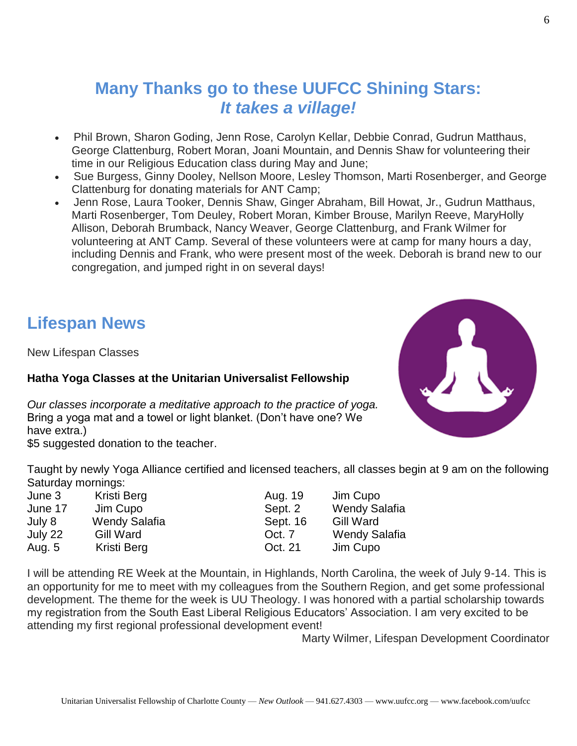### **Many Thanks go to these UUFCC Shining Stars:** *It takes a village!*

- Phil Brown, Sharon Goding, Jenn Rose, Carolyn Kellar, Debbie Conrad, Gudrun Matthaus, George Clattenburg, Robert Moran, Joani Mountain, and Dennis Shaw for volunteering their time in our Religious Education class during May and June;
- Sue Burgess, Ginny Dooley, Nellson Moore, Lesley Thomson, Marti Rosenberger, and George Clattenburg for donating materials for ANT Camp;
- Jenn Rose, Laura Tooker, Dennis Shaw, Ginger Abraham, Bill Howat, Jr., Gudrun Matthaus, Marti Rosenberger, Tom Deuley, Robert Moran, Kimber Brouse, Marilyn Reeve, MaryHolly Allison, Deborah Brumback, Nancy Weaver, George Clattenburg, and Frank Wilmer for volunteering at ANT Camp. Several of these volunteers were at camp for many hours a day, including Dennis and Frank, who were present most of the week. Deborah is brand new to our congregation, and jumped right in on several days!

#### **Lifespan News**

New Lifespan Classes

#### **Hatha Yoga Classes at the Unitarian Universalist Fellowship**

*Our classes incorporate a meditative approach to the practice of yoga.* Bring a yoga mat and a towel or light blanket. (Don't have one? We have extra.)

\$5 suggested donation to the teacher.

Taught by newly Yoga Alliance certified and licensed teachers, all classes begin at 9 am on the following Saturday mornings:

| June 3  | Kristi Berg   | Aug. 19  | Jim Cupo             |
|---------|---------------|----------|----------------------|
| June 17 | Jim Cupo      | Sept. 2  | <b>Wendy Salafia</b> |
| July 8  | Wendy Salafia | Sept. 16 | <b>Gill Ward</b>     |
| July 22 | Gill Ward     | Oct. 7   | Wendy Salafia        |
| Aug. 5  | Kristi Berg   | Oct. 21  | Jim Cupo             |

I will be attending RE Week at the Mountain, in Highlands, North Carolina, the week of July 9-14. This is an opportunity for me to meet with my colleagues from the Southern Region, and get some professional development. The theme for the week is UU Theology. I was honored with a partial scholarship towards my registration from the South East Liberal Religious Educators' Association. I am very excited to be attending my first regional professional development event!

Marty Wilmer, Lifespan Development Coordinator

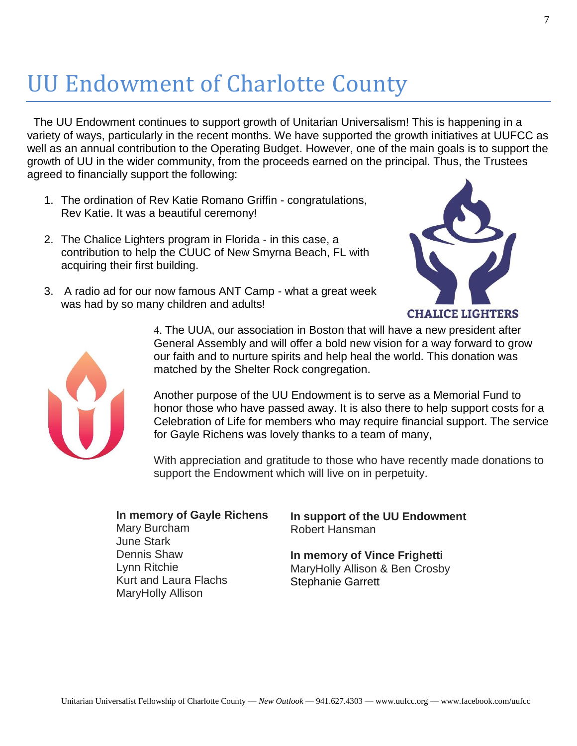# UU Endowment of Charlotte County

The UU Endowment continues to support growth of Unitarian Universalism! This is happening in a variety of ways, particularly in the recent months. We have supported the growth initiatives at UUFCC as well as an annual contribution to the Operating Budget. However, one of the main goals is to support the growth of UU in the wider community, from the proceeds earned on the principal. Thus, the Trustees agreed to financially support the following:

- 1. The ordination of Rev Katie Romano Griffin congratulations, Rev Katie. It was a beautiful ceremony!
- 2. The Chalice Lighters program in Florida in this case, a contribution to help the CUUC of New Smyrna Beach, FL with acquiring their first building.

3. A radio ad for our now famous ANT Camp - what a great week

was had by so many children and adults!





4. The UUA, our association in Boston that will have a new president after General Assembly and will offer a bold new vision for a way forward to grow our faith and to nurture spirits and help heal the world. This donation was matched by the Shelter Rock congregation.

Another purpose of the UU Endowment is to serve as a Memorial Fund to honor those who have passed away. It is also there to help support costs for a Celebration of Life for members who may require financial support. The service for Gayle Richens was lovely thanks to a team of many,

With appreciation and gratitude to those who have recently made donations to support the Endowment which will live on in perpetuity.

#### **In memory of Gayle Richens** Mary Burcham June Stark Dennis Shaw Lynn Ritchie Kurt and Laura Flachs MaryHolly Allison

#### **In support of the UU Endowment** Robert Hansman

**In memory of Vince Frighetti** MaryHolly Allison & Ben Crosby Stephanie Garrett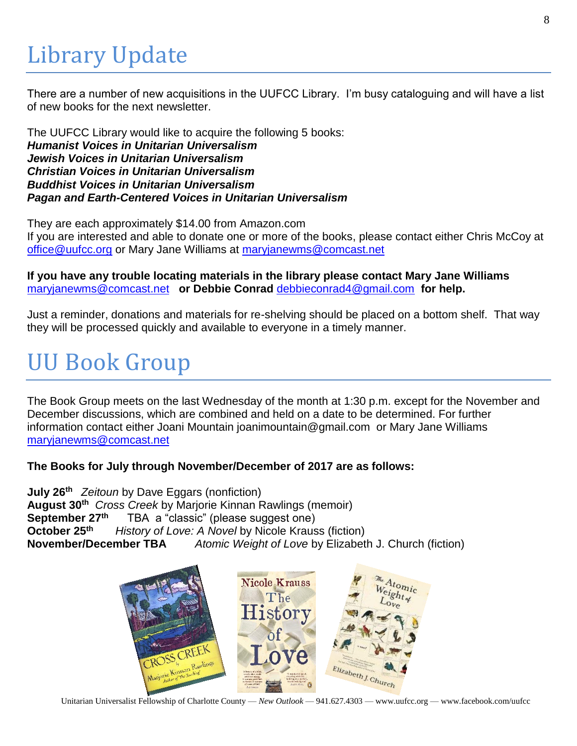# Library Update

There are a number of new acquisitions in the UUFCC Library. I'm busy cataloguing and will have a list of new books for the next newsletter.

The UUFCC Library would like to acquire the following 5 books: *Humanist Voices in Unitarian Universalism Jewish Voices in Unitarian Universalism Christian Voices in Unitarian Universalism Buddhist Voices in Unitarian Universalism Pagan and Earth-Centered Voices in Unitarian Universalism*

They are each approximately \$14.00 from Amazon.com If you are interested and able to donate one or more of the books, please contact either Chris McCoy at [office@uufcc.org](mailto:office@uufcc.org) or Mary Jane Williams at [maryjanewms@comcast.net](mailto:maryjanewms@comcast.net)

**If you have any trouble locating materials in the library please contact Mary Jane Williams**  [maryjanewms@comcast.net](mailto:maryjanewms@comcast.net) **or Debbie Conrad** [debbieconrad4@gmail.com](mailto:debbieconrad4@gmail.com) **for help.**

Just a reminder, donations and materials for re-shelving should be placed on a bottom shelf. That way they will be processed quickly and available to everyone in a timely manner.

# UU Book Group

The Book Group meets on the last Wednesday of the month at 1:30 p.m. except for the November and December discussions, which are combined and held on a date to be determined. For further information contact either Joani Mountain joanimountain@gmail.com or Mary Jane Williams [maryjanewms@comcast.net](mailto:maryjanewms@comcast.net)

**The Books for July through November/December of 2017 are as follows:**

**July 26th** *Zeitoun* by Dave Eggars (nonfiction) **August 30th** *Cross Creek* by Marjorie Kinnan Rawlings (memoir) **September 27th** TBA a "classic" (please suggest one) **October 25th** *History of Love: A Novel* by Nicole Krauss (fiction) **November/December TBA** *Atomic Weight of Love* by Elizabeth J. Church (fiction)



Unitarian Universalist Fellowship of Charlotte County — *New Outlook* — 941.627.4303 — www.uufcc.org — www.facebook.com/uufcc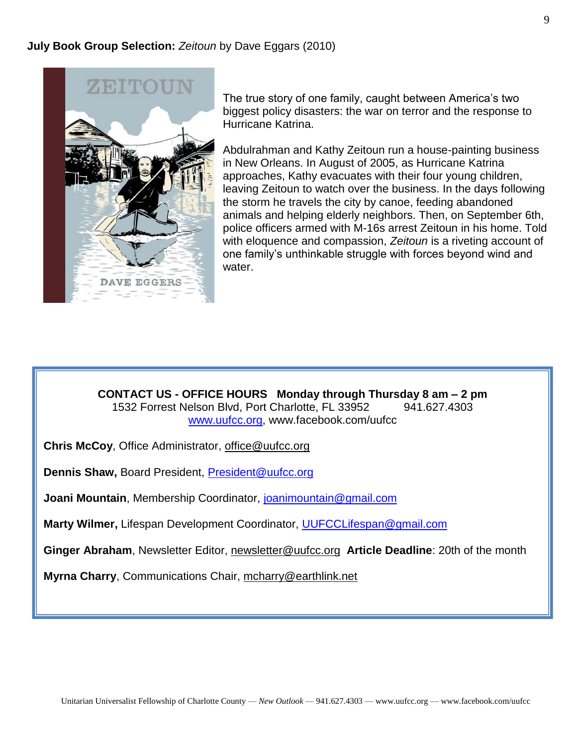

The true story of one family, caught between America's two biggest policy disasters: the war on terror and the response to Hurricane Katrina.

Abdulrahman and Kathy Zeitoun run a house-painting business in New Orleans. In August of 2005, as Hurricane Katrina approaches, Kathy evacuates with their four young children, leaving Zeitoun to watch over the business. In the days following the storm he travels the city by canoe, feeding abandoned animals and helping elderly neighbors. Then, on September 6th, police officers armed with M-16s arrest Zeitoun in his home. Told with eloquence and compassion, *Zeitoun* is a riveting account of one family's unthinkable struggle with forces beyond wind and water.

**CONTACT US - OFFICE HOURS Monday through Thursday 8 am – 2 pm** 1532 Forrest Nelson Blvd, Port Charlotte, FL 33952 941.627.4303 [www.uufcc.org,](http://www.uufcc.org/) www.facebook.com/uufcc

**Chris McCoy**, Office Administrator, [office@uufcc.org](mailto:office@uufcc.org)

**Dennis Shaw,** Board President, [President@uufcc.org](mailto:President@uufcc.org)

**Joani Mountain**, Membership Coordinator, [joanimountain@gmail.com](mailto:joanimountain@gmail.com)

**Marty Wilmer,** Lifespan Development Coordinator, [UUFCCLifespan@gmail.com](mailto:UUFCCLifespan@gmail.com)

**Ginger Abraham**, Newsletter Editor, newsletter@uufcc.org **Article Deadline**: 20th of the month

**Myrna Charry**, Communications Chair, mcharry@earthlink.net